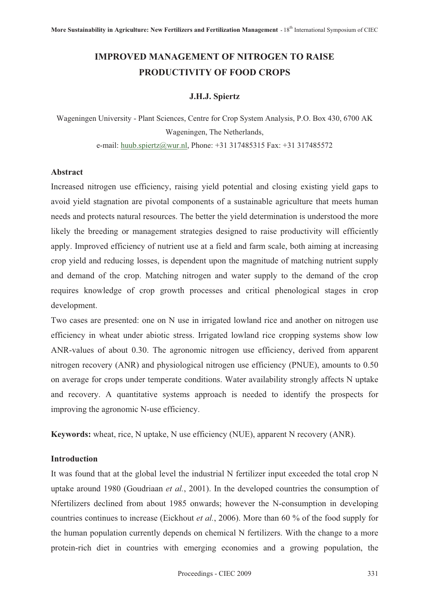# **IMPROVED MANAGEMENT OF NITROGEN TO RAISE PRODUCTIVITY OF FOOD CROPS**

# **J.H.J. Spiertz**

Wageningen University - Plant Sciences, Centre for Crop System Analysis, P.O. Box 430, 6700 AK Wageningen, The Netherlands, e-mail: huub.spiertz@wur.nl, Phone: +31 317485315 Fax: +31 317485572

#### **Abstract**

Increased nitrogen use efficiency, raising yield potential and closing existing yield gaps to avoid yield stagnation are pivotal components of a sustainable agriculture that meets human needs and protects natural resources. The better the yield determination is understood the more likely the breeding or management strategies designed to raise productivity will efficiently apply. Improved efficiency of nutrient use at a field and farm scale, both aiming at increasing crop yield and reducing losses, is dependent upon the magnitude of matching nutrient supply and demand of the crop. Matching nitrogen and water supply to the demand of the crop requires knowledge of crop growth processes and critical phenological stages in crop development.

Two cases are presented: one on N use in irrigated lowland rice and another on nitrogen use efficiency in wheat under abiotic stress. Irrigated lowland rice cropping systems show low ANR-values of about 0.30. The agronomic nitrogen use efficiency, derived from apparent nitrogen recovery (ANR) and physiological nitrogen use efficiency (PNUE), amounts to 0.50 on average for crops under temperate conditions. Water availability strongly affects N uptake and recovery. A quantitative systems approach is needed to identify the prospects for improving the agronomic N-use efficiency.

**Keywords:** wheat, rice, N uptake, N use efficiency (NUE), apparent N recovery (ANR).

# **Introduction**

It was found that at the global level the industrial N fertilizer input exceeded the total crop N uptake around 1980 (Goudriaan *et al.*, 2001). In the developed countries the consumption of Nfertilizers declined from about 1985 onwards; however the N-consumption in developing countries continues to increase (Eickhout *et al.*, 2006). More than 60 % of the food supply for the human population currently depends on chemical N fertilizers. With the change to a more protein-rich diet in countries with emerging economies and a growing population, the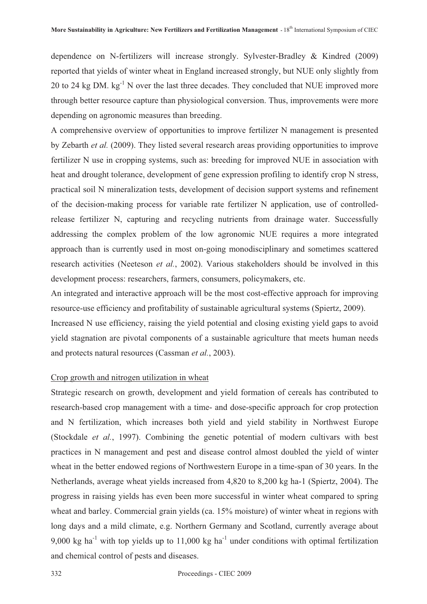dependence on N-fertilizers will increase strongly. Sylvester-Bradley & Kindred (2009) reported that yields of winter wheat in England increased strongly, but NUE only slightly from 20 to 24 kg DM. kg<sup>-1</sup> N over the last three decades. They concluded that NUE improved more through better resource capture than physiological conversion. Thus, improvements were more depending on agronomic measures than breeding.

A comprehensive overview of opportunities to improve fertilizer N management is presented by Zebarth *et al.* (2009). They listed several research areas providing opportunities to improve fertilizer N use in cropping systems, such as: breeding for improved NUE in association with heat and drought tolerance, development of gene expression profiling to identify crop N stress, practical soil N mineralization tests, development of decision support systems and refinement of the decision-making process for variable rate fertilizer N application, use of controlledrelease fertilizer N, capturing and recycling nutrients from drainage water. Successfully addressing the complex problem of the low agronomic NUE requires a more integrated approach than is currently used in most on-going monodisciplinary and sometimes scattered research activities (Neeteson *et al.*, 2002). Various stakeholders should be involved in this development process: researchers, farmers, consumers, policymakers, etc.

An integrated and interactive approach will be the most cost-effective approach for improving resource-use efficiency and profitability of sustainable agricultural systems (Spiertz, 2009).

Increased N use efficiency, raising the yield potential and closing existing yield gaps to avoid yield stagnation are pivotal components of a sustainable agriculture that meets human needs and protects natural resources (Cassman *et al.*, 2003).

### Crop growth and nitrogen utilization in wheat

Strategic research on growth, development and yield formation of cereals has contributed to research-based crop management with a time- and dose-specific approach for crop protection and N fertilization, which increases both yield and yield stability in Northwest Europe (Stockdale *et al.*, 1997). Combining the genetic potential of modern cultivars with best practices in N management and pest and disease control almost doubled the yield of winter wheat in the better endowed regions of Northwestern Europe in a time-span of 30 years. In the Netherlands, average wheat yields increased from 4,820 to 8,200 kg ha-1 (Spiertz, 2004). The progress in raising yields has even been more successful in winter wheat compared to spring wheat and barley. Commercial grain yields (ca. 15% moisture) of winter wheat in regions with long days and a mild climate, e.g. Northern Germany and Scotland, currently average about 9,000 kg ha<sup>-1</sup> with top yields up to 11,000 kg ha<sup>-1</sup> under conditions with optimal fertilization and chemical control of pests and diseases.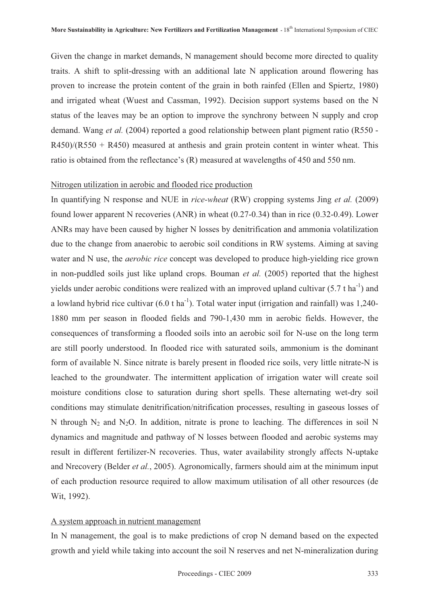Given the change in market demands, N management should become more directed to quality traits. A shift to split-dressing with an additional late N application around flowering has proven to increase the protein content of the grain in both rainfed (Ellen and Spiertz, 1980) and irrigated wheat (Wuest and Cassman, 1992). Decision support systems based on the N status of the leaves may be an option to improve the synchrony between N supply and crop demand. Wang *et al.* (2004) reported a good relationship between plant pigment ratio (R550 -  $R450/(R550 + R450)$  measured at anthesis and grain protein content in winter wheat. This ratio is obtained from the reflectance's (R) measured at wavelengths of 450 and 550 nm.

# Nitrogen utilization in aerobic and flooded rice production

In quantifying N response and NUE in *rice-wheat* (RW) cropping systems Jing *et al.* (2009) found lower apparent N recoveries (ANR) in wheat (0.27-0.34) than in rice (0.32-0.49). Lower ANRs may have been caused by higher N losses by denitrification and ammonia volatilization due to the change from anaerobic to aerobic soil conditions in RW systems. Aiming at saving water and N use, the *aerobic rice* concept was developed to produce high-yielding rice grown in non-puddled soils just like upland crops. Bouman *et al.* (2005) reported that the highest yields under aerobic conditions were realized with an improved upland cultivar  $(5.7 \text{ tha}^{-1})$  and a lowland hybrid rice cultivar  $(6.0 \text{ t ha}^{-1})$ . Total water input (irrigation and rainfall) was 1,240-1880 mm per season in flooded fields and 790-1,430 mm in aerobic fields. However, the consequences of transforming a flooded soils into an aerobic soil for N-use on the long term are still poorly understood. In flooded rice with saturated soils, ammonium is the dominant form of available N. Since nitrate is barely present in flooded rice soils, very little nitrate-N is leached to the groundwater. The intermittent application of irrigation water will create soil moisture conditions close to saturation during short spells. These alternating wet-dry soil conditions may stimulate denitrification/nitrification processes, resulting in gaseous losses of N through  $N_2$  and  $N_2O$ . In addition, nitrate is prone to leaching. The differences in soil N dynamics and magnitude and pathway of N losses between flooded and aerobic systems may result in different fertilizer-N recoveries. Thus, water availability strongly affects N-uptake and Nrecovery (Belder *et al.*, 2005). Agronomically, farmers should aim at the minimum input of each production resource required to allow maximum utilisation of all other resources (de Wit, 1992).

### A system approach in nutrient management

In N management, the goal is to make predictions of crop N demand based on the expected growth and yield while taking into account the soil N reserves and net N-mineralization during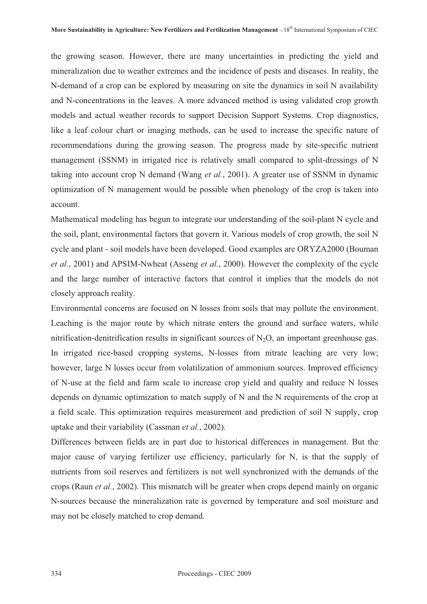the growing season. However, there are many uncertainties in predicting the yield and mineralization due to weather extremes and the incidence of pests and diseases. In reality, the N-demand of a crop can be explored by measuring on site the dynamics in soil N availability and N-concentrations in the leaves. A more advanced method is using validated crop growth models and actual weather records to support Decision Support Systems. Crop diagnostics, like a leaf colour chart or imaging methods, can be used to increase the specific nature of recommendations during the growing season. The progress made by site-specific nutrient management (SSNM) in irrigated rice is relatively small compared to split-dressings of N taking into account crop N demand (Wang *et al.*, 2001). A greater use of SSNM in dynamic optimization of N management would be possible when phenology of the crop is taken into account.

Mathematical modeling has begun to integrate our understanding of the soil-plant N cycle and the soil, plant, environmental factors that govern it. Various models of crop growth, the soil N cycle and plant - soil models have been developed. Good examples are ORYZA2000 (Bouman *et al.*, 2001) and APSIM-Nwheat (Asseng *et al.*, 2000). However the complexity of the cycle and the large number of interactive factors that control it implies that the models do not closely approach reality.

Environmental concerns are focused on N losses from soils that may pollute the environment. Leaching is the major route by which nitrate enters the ground and surface waters, while nitrification-denitrification results in significant sources of  $N<sub>2</sub>O$ , an important greenhouse gas. In irrigated rice-based cropping systems, N-losses from nitrate leaching are very low; however, large N losses occur from volatilization of ammonium sources. Improved efficiency of N-use at the field and farm scale to increase crop yield and quality and reduce N losses depends on dynamic optimization to match supply of N and the N requirements of the crop at a field scale. This optimization requires measurement and prediction of soil N supply, crop uptake and their variability (Cassman *et al.*, 2002).

Differences between fields are in part due to historical differences in management. But the major cause of varying fertilizer use efficiency, particularly for N, is that the supply of nutrients from soil reserves and fertilizers is not well synchronized with the demands of the crops (Raun *et al.*, 2002). This mismatch will be greater when crops depend mainly on organic N-sources because the mineralization rate is governed by temperature and soil moisture and may not be closely matched to crop demand.